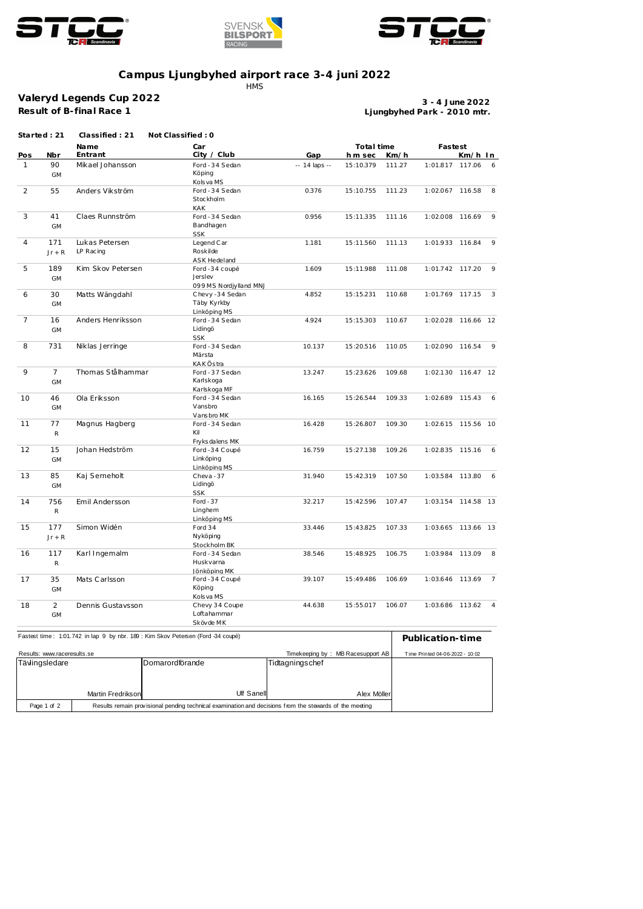





## **Campus Ljungbyhed airport race 3-4 juni 2022**

**HMS** 

## **Valeryd Legends Cup 2022 Result of B-final Race 1**

**Ljungbyhed Park - 2010 mtr. 3 - 4 June 2022**

|                | Started: 21                 | Classified: 21    | Not Classified: 0                                                               |                 |                                   |        |                                 |           |                 |  |
|----------------|-----------------------------|-------------------|---------------------------------------------------------------------------------|-----------------|-----------------------------------|--------|---------------------------------|-----------|-----------------|--|
|                |                             | Name              | Car                                                                             |                 | Total time                        |        | Fastest                         |           |                 |  |
| Pos            | Nbr                         | Entrant           | City / Club                                                                     | Gap             | h m sec                           | Km/h   |                                 | Km/h In   |                 |  |
| $\mathbf{1}$   | 90                          | Mikael Johansson  | Ford - 34 Sedan                                                                 | -- 14 laps --   | 15:10.379                         | 111.27 | 1:01.817 117.06                 |           | 6               |  |
|                | <b>GM</b>                   |                   | Köping                                                                          |                 |                                   |        |                                 |           |                 |  |
|                |                             |                   | Kols va MS                                                                      |                 |                                   |        |                                 |           |                 |  |
| 2              | 55                          | Anders Vikström   | Ford - 34 Sedan                                                                 | 0.376           | 15:10.755                         | 111.23 | 1:02.067 116.58                 |           | 8               |  |
|                |                             |                   | Stockholm                                                                       |                 |                                   |        |                                 |           |                 |  |
|                |                             |                   | <b>KAK</b>                                                                      |                 |                                   |        |                                 |           |                 |  |
| 3              | 41                          | Claes Runnström   | Ford - 34 Sedan                                                                 | 0.956           | 15:11.335                         | 111.16 | 1:02.008                        | 116.69    | 9               |  |
|                | <b>GM</b>                   |                   | Bandhagen                                                                       |                 |                                   |        |                                 |           |                 |  |
|                |                             |                   | <b>SSK</b>                                                                      |                 |                                   |        |                                 |           |                 |  |
| $\overline{4}$ | 171                         | Lukas Petersen    | Legend Car                                                                      | 1.181           | 15:11.560                         | 111.13 | 1:01.933 116.84                 |           | 9               |  |
|                | $Jr + R$                    | LP Racing         | Roskilde                                                                        |                 |                                   |        |                                 |           |                 |  |
|                |                             |                   | <b>ASK Hedeland</b>                                                             |                 |                                   |        |                                 |           |                 |  |
| 5              | 189                         | Kim Skov Petersen | Ford -34 coupé                                                                  | 1.609           | 15:11.988                         | 111.08 | 1:01.742 117.20                 |           | - 9             |  |
|                | <b>GM</b>                   |                   | Jerslev                                                                         |                 |                                   |        |                                 |           |                 |  |
|                |                             |                   | 099 MS Nordjylland MNJ                                                          |                 |                                   |        |                                 |           |                 |  |
| 6              | 30                          | Matts Wängdahl    | Chevy-34 Sedan                                                                  | 4.852           | 15:15.231                         | 110.68 | 1:01.769 117.15                 |           | 3               |  |
|                | <b>GM</b>                   |                   | Täby Kyrkby                                                                     |                 |                                   |        |                                 |           |                 |  |
|                |                             |                   | Linköping MS                                                                    |                 |                                   |        |                                 |           |                 |  |
| $\overline{7}$ | 16                          | Anders Henriksson | Ford - 34 Sedan                                                                 | 4.924           | 15:15.303                         | 110.67 | 1:02.028                        | 116.66 12 |                 |  |
|                | GM                          |                   | Lidingö                                                                         |                 |                                   |        |                                 |           |                 |  |
|                |                             |                   | <b>SSK</b>                                                                      |                 |                                   |        |                                 |           |                 |  |
| 8              | 731                         | Niklas Jerringe   | Ford - 34 Sedan                                                                 | 10.137          | 15:20.516                         | 110.05 | 1:02.090                        | 116.54    | - 9             |  |
|                |                             |                   | Märsta                                                                          |                 |                                   |        |                                 |           |                 |  |
|                |                             |                   | <b>KAKÖstra</b>                                                                 |                 |                                   |        |                                 |           |                 |  |
| 9              | $\overline{7}$              | Thomas Stålhammar | Ford - 37 Sedan                                                                 | 13.247          | 15:23.626                         | 109.68 | 1:02.130                        | 116.47 12 |                 |  |
|                | <b>GM</b>                   |                   | Karlskoga                                                                       |                 |                                   |        |                                 |           |                 |  |
|                |                             |                   | Karlskoga MF                                                                    |                 |                                   |        |                                 |           |                 |  |
| 10             | 46                          | Ola Eriksson      | Ford - 34 Sedan                                                                 | 16.165          | 15:26.544                         | 109.33 | 1:02.689 115.43 6               |           |                 |  |
|                | <b>GM</b>                   |                   | Vansbro                                                                         |                 |                                   |        |                                 |           |                 |  |
|                |                             |                   | Vansbro MK                                                                      |                 |                                   |        |                                 |           |                 |  |
| 11             | 77                          | Magnus Hagberg    | Ford - 34 Sedan                                                                 | 16.428          | 15:26.807                         | 109.30 | 1:02.615                        | 115.56 10 |                 |  |
|                | ${\sf R}$                   |                   | Kil                                                                             |                 |                                   |        |                                 |           |                 |  |
|                |                             |                   | Fryks dalens MK                                                                 |                 |                                   |        |                                 |           |                 |  |
| 12             | 15                          | Johan Hedström    | Ford -34 Coupé                                                                  | 16.759          | 15:27.138                         | 109.26 | 1:02.835                        | 115.16    | $6\overline{6}$ |  |
|                | <b>GM</b>                   |                   | Linköping                                                                       |                 |                                   |        |                                 |           |                 |  |
|                |                             |                   | Linköping MS                                                                    |                 |                                   |        |                                 |           |                 |  |
| 13             | 85                          | Kaj Serneholt     | Cheva - 37                                                                      | 31.940          | 15:42.319                         | 107.50 | 1:03.584                        | 113.80 6  |                 |  |
|                | GM                          |                   | Lidingö                                                                         |                 |                                   |        |                                 |           |                 |  |
|                |                             |                   | <b>SSK</b>                                                                      |                 |                                   |        |                                 |           |                 |  |
| 14             | 756                         | Emil Andersson    | Ford $-37$                                                                      | 32.217          | 15:42.596                         | 107.47 | 1:03.154                        | 114.58 13 |                 |  |
|                | $\mathsf{R}$                |                   | Linghem                                                                         |                 |                                   |        |                                 |           |                 |  |
|                |                             |                   | Linköping MS                                                                    |                 |                                   |        |                                 |           |                 |  |
| 15             | 177                         | Simon Widén       | Ford 34                                                                         | 33.446          | 15:43.825                         | 107.33 | 1:03.665 113.66 13              |           |                 |  |
|                | $Jr + R$                    |                   | Nyköping                                                                        |                 |                                   |        |                                 |           |                 |  |
|                |                             |                   | Stockholm BK                                                                    |                 |                                   |        |                                 |           |                 |  |
| 16             | 117                         | Karl Ingemalm     | Ford - 34 Sedan                                                                 | 38.546          | 15:48.925                         | 106.75 | 1:03.984                        | 113.09 8  |                 |  |
|                | $\mathsf{R}$                |                   | Huskvarna                                                                       |                 |                                   |        |                                 |           |                 |  |
|                |                             |                   | Jönköping MK                                                                    |                 |                                   |        |                                 |           |                 |  |
| 17             | 35                          | Mats Carlsson     | Ford -34 Coupé                                                                  | 39.107          | 15:49.486                         | 106.69 | 1:03.646 113.69                 |           | $\overline{7}$  |  |
|                | GM                          |                   | Köping                                                                          |                 |                                   |        |                                 |           |                 |  |
|                |                             | Dennis Gustavsson | Kols va MS<br>Chevy 34 Coupe                                                    |                 |                                   | 106.07 |                                 |           |                 |  |
| 18             | $\overline{2}$              |                   | Loftahammar                                                                     | 44.638          | 15:55.017                         |        | 1:03.686                        | 113.62 4  |                 |  |
|                | <b>GM</b>                   |                   |                                                                                 |                 |                                   |        |                                 |           |                 |  |
|                |                             |                   | Skövde MK                                                                       |                 |                                   |        |                                 |           |                 |  |
|                |                             |                   | Fastest time: 1:01.742 in lap 9 by nbr. 189 : Kim Skov Petersen (Ford 34 coupé) |                 |                                   |        | Publication-time                |           |                 |  |
|                |                             |                   |                                                                                 |                 |                                   |        |                                 |           |                 |  |
|                | Results: www.raceresults.se |                   |                                                                                 |                 | Timekeeping by: MB Racesupport AB |        | Time Printed 04-06-2022 - 10:02 |           |                 |  |
|                | Tävlingsledare              |                   | Domarordförande                                                                 | Tidtagningschef |                                   |        |                                 |           |                 |  |
|                |                             |                   |                                                                                 |                 |                                   |        |                                 |           |                 |  |

| aviliy siedale |                   | i Domaio i giudiande                                                                                    | <u>Huldyningscher</u> |  |  |
|----------------|-------------------|---------------------------------------------------------------------------------------------------------|-----------------------|--|--|
|                |                   |                                                                                                         |                       |  |  |
|                |                   |                                                                                                         |                       |  |  |
|                | Martin Fredrikson | Ulf Sanell                                                                                              | Alex Möller           |  |  |
| Page 1 of 2    |                   | Results remain provisional pending technical examination and decisions from the stewards of the meeting |                       |  |  |